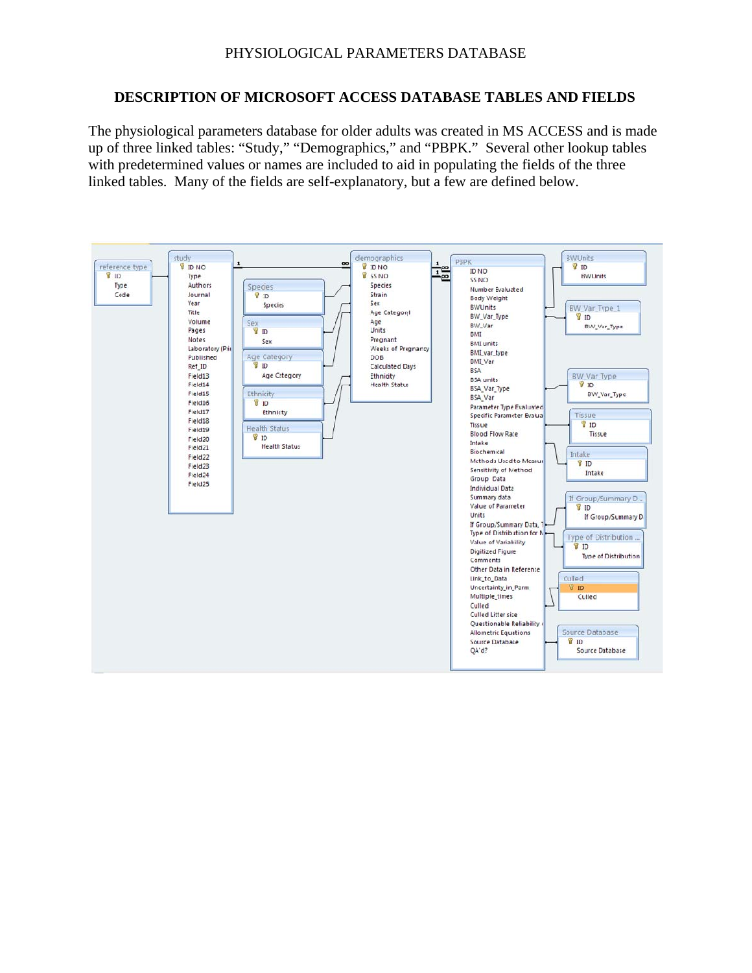#### **DESCRIPTION OF MICROSOFT ACCESS DATABASE TABLES AND FIELDS**

The physiological parameters database for older adults was created in MS ACCESS and is made up of three linked tables: "Study," "Demographics," and "PBPK." Several other lookup tables with predetermined values or names are included to aid in populating the fields of the three linked tables. Many of the fields are self-explanatory, but a few are defined below.

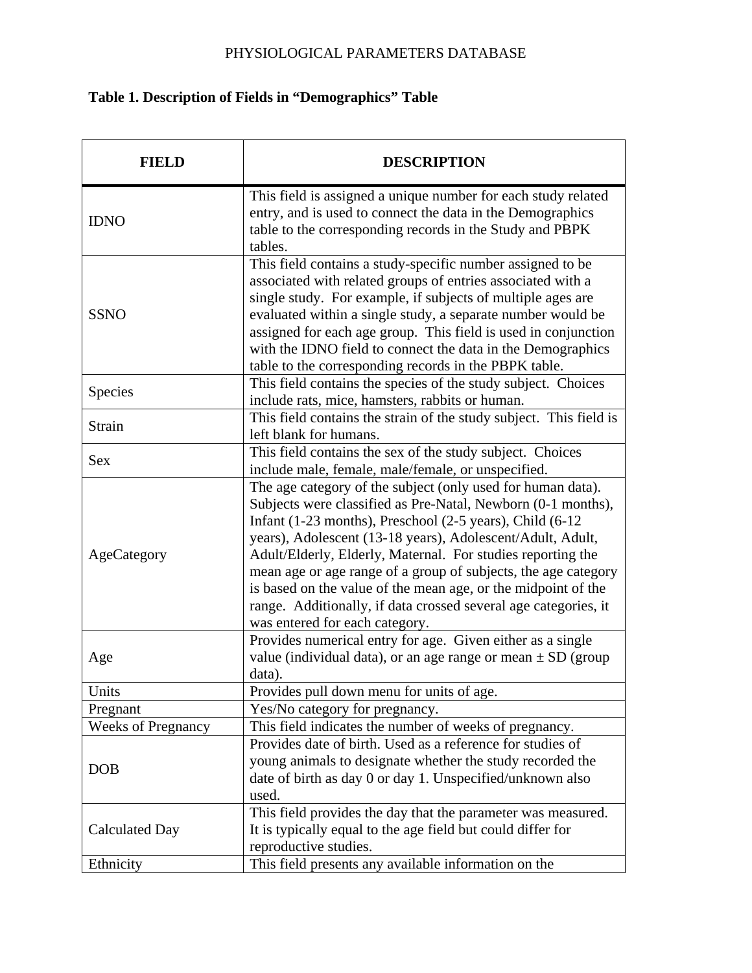# **Table 1. Description of Fields in "Demographics" Table**

| <b>FIELD</b>              | <b>DESCRIPTION</b>                                                                                                                                                                                                                                                                                                                                                                                                                                                                                                                                           |
|---------------------------|--------------------------------------------------------------------------------------------------------------------------------------------------------------------------------------------------------------------------------------------------------------------------------------------------------------------------------------------------------------------------------------------------------------------------------------------------------------------------------------------------------------------------------------------------------------|
| <b>IDNO</b>               | This field is assigned a unique number for each study related<br>entry, and is used to connect the data in the Demographics<br>table to the corresponding records in the Study and PBPK<br>tables.                                                                                                                                                                                                                                                                                                                                                           |
| <b>SSNO</b>               | This field contains a study-specific number assigned to be<br>associated with related groups of entries associated with a<br>single study. For example, if subjects of multiple ages are<br>evaluated within a single study, a separate number would be<br>assigned for each age group. This field is used in conjunction<br>with the IDNO field to connect the data in the Demographics<br>table to the corresponding records in the PBPK table.                                                                                                            |
| Species                   | This field contains the species of the study subject. Choices<br>include rats, mice, hamsters, rabbits or human.                                                                                                                                                                                                                                                                                                                                                                                                                                             |
| Strain                    | This field contains the strain of the study subject. This field is<br>left blank for humans.                                                                                                                                                                                                                                                                                                                                                                                                                                                                 |
| <b>Sex</b>                | This field contains the sex of the study subject. Choices<br>include male, female, male/female, or unspecified.                                                                                                                                                                                                                                                                                                                                                                                                                                              |
| AgeCategory               | The age category of the subject (only used for human data).<br>Subjects were classified as Pre-Natal, Newborn (0-1 months),<br>Infant (1-23 months), Preschool (2-5 years), Child (6-12<br>years), Adolescent (13-18 years), Adolescent/Adult, Adult,<br>Adult/Elderly, Elderly, Maternal. For studies reporting the<br>mean age or age range of a group of subjects, the age category<br>is based on the value of the mean age, or the midpoint of the<br>range. Additionally, if data crossed several age categories, it<br>was entered for each category. |
| Age                       | Provides numerical entry for age. Given either as a single<br>value (individual data), or an age range or mean $\pm$ SD (group<br>data).                                                                                                                                                                                                                                                                                                                                                                                                                     |
| Units                     | Provides pull down menu for units of age.                                                                                                                                                                                                                                                                                                                                                                                                                                                                                                                    |
| Pregnant                  | Yes/No category for pregnancy.                                                                                                                                                                                                                                                                                                                                                                                                                                                                                                                               |
| <b>Weeks of Pregnancy</b> | This field indicates the number of weeks of pregnancy.                                                                                                                                                                                                                                                                                                                                                                                                                                                                                                       |
| <b>DOB</b>                | Provides date of birth. Used as a reference for studies of<br>young animals to designate whether the study recorded the<br>date of birth as day 0 or day 1. Unspecified/unknown also<br>used.                                                                                                                                                                                                                                                                                                                                                                |
| <b>Calculated Day</b>     | This field provides the day that the parameter was measured.<br>It is typically equal to the age field but could differ for<br>reproductive studies.                                                                                                                                                                                                                                                                                                                                                                                                         |
| Ethnicity                 | This field presents any available information on the                                                                                                                                                                                                                                                                                                                                                                                                                                                                                                         |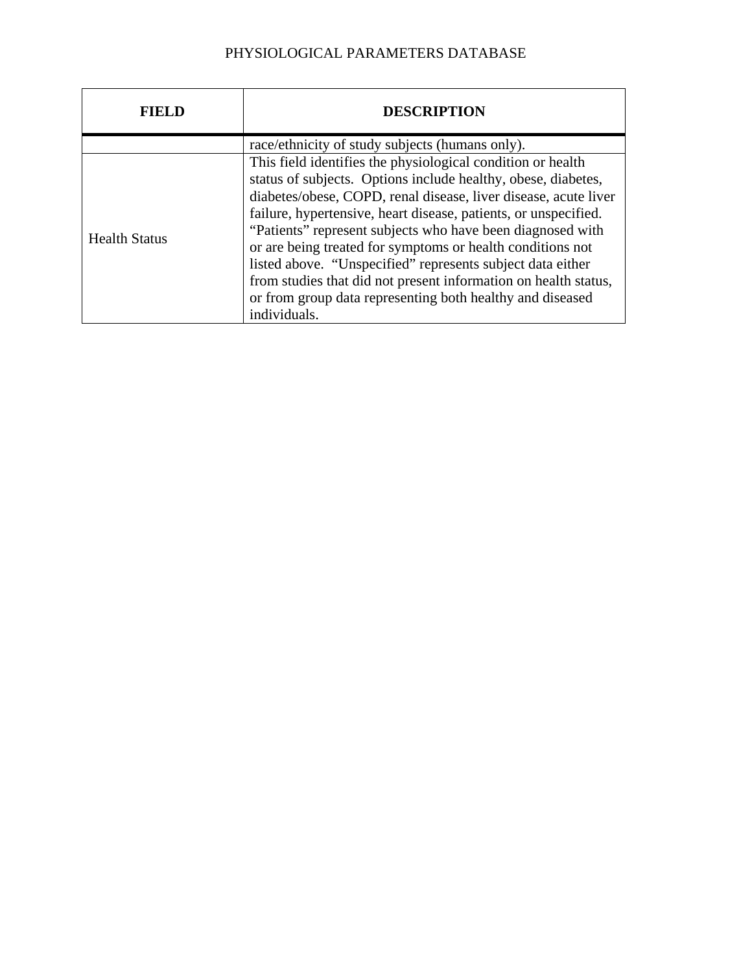|                      | <b>DESCRIPTION</b>                                                                                                                                                                                                                                                                                                                                                                                                                                                                                                                                                                                           |
|----------------------|--------------------------------------------------------------------------------------------------------------------------------------------------------------------------------------------------------------------------------------------------------------------------------------------------------------------------------------------------------------------------------------------------------------------------------------------------------------------------------------------------------------------------------------------------------------------------------------------------------------|
|                      | race/ethnicity of study subjects (humans only).                                                                                                                                                                                                                                                                                                                                                                                                                                                                                                                                                              |
| <b>Health Status</b> | This field identifies the physiological condition or health<br>status of subjects. Options include healthy, obese, diabetes,<br>diabetes/obese, COPD, renal disease, liver disease, acute liver<br>failure, hypertensive, heart disease, patients, or unspecified.<br>"Patients" represent subjects who have been diagnosed with<br>or are being treated for symptoms or health conditions not<br>listed above. "Unspecified" represents subject data either<br>from studies that did not present information on health status,<br>or from group data representing both healthy and diseased<br>individuals. |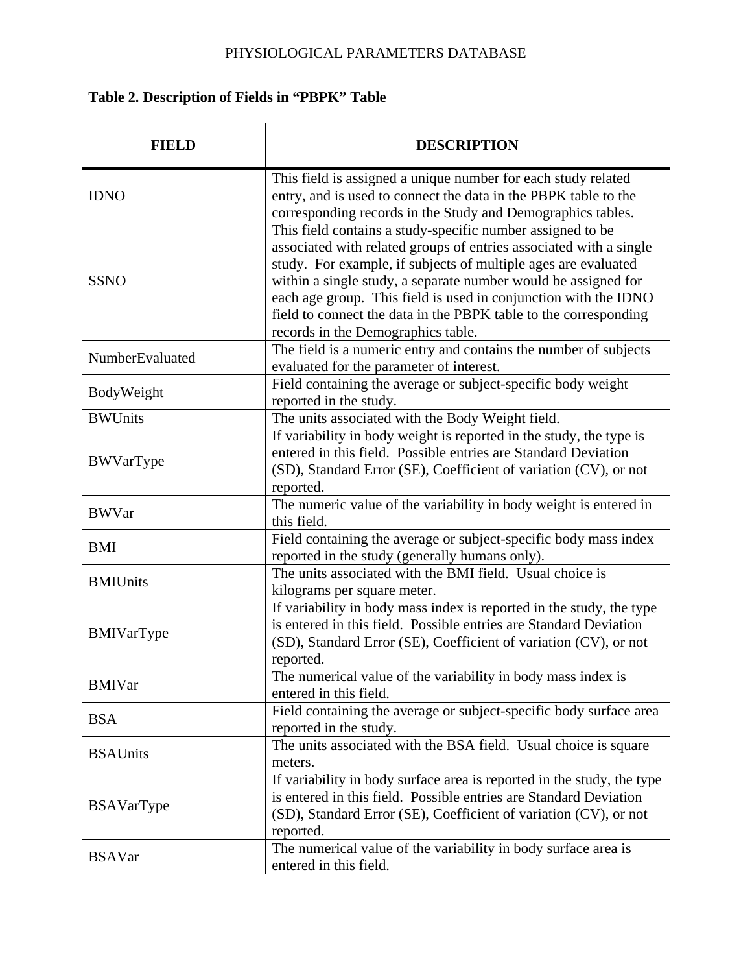# **Table 2. Description of Fields in "PBPK" Table**

|                   | <b>DESCRIPTION</b>                                                                                                                                                                                                                                                                                                                                                                                                                                |
|-------------------|---------------------------------------------------------------------------------------------------------------------------------------------------------------------------------------------------------------------------------------------------------------------------------------------------------------------------------------------------------------------------------------------------------------------------------------------------|
| <b>IDNO</b>       | This field is assigned a unique number for each study related<br>entry, and is used to connect the data in the PBPK table to the<br>corresponding records in the Study and Demographics tables.                                                                                                                                                                                                                                                   |
| <b>SSNO</b>       | This field contains a study-specific number assigned to be<br>associated with related groups of entries associated with a single<br>study. For example, if subjects of multiple ages are evaluated<br>within a single study, a separate number would be assigned for<br>each age group. This field is used in conjunction with the IDNO<br>field to connect the data in the PBPK table to the corresponding<br>records in the Demographics table. |
| NumberEvaluated   | The field is a numeric entry and contains the number of subjects<br>evaluated for the parameter of interest.                                                                                                                                                                                                                                                                                                                                      |
| BodyWeight        | Field containing the average or subject-specific body weight<br>reported in the study.                                                                                                                                                                                                                                                                                                                                                            |
| <b>BWUnits</b>    | The units associated with the Body Weight field.                                                                                                                                                                                                                                                                                                                                                                                                  |
| BWVarType         | If variability in body weight is reported in the study, the type is<br>entered in this field. Possible entries are Standard Deviation<br>(SD), Standard Error (SE), Coefficient of variation (CV), or not<br>reported.                                                                                                                                                                                                                            |
| <b>BWVar</b>      | The numeric value of the variability in body weight is entered in<br>this field.                                                                                                                                                                                                                                                                                                                                                                  |
| <b>BMI</b>        | Field containing the average or subject-specific body mass index<br>reported in the study (generally humans only).                                                                                                                                                                                                                                                                                                                                |
| <b>BMIUnits</b>   | The units associated with the BMI field. Usual choice is<br>kilograms per square meter.                                                                                                                                                                                                                                                                                                                                                           |
| BMIVarType        | If variability in body mass index is reported in the study, the type<br>is entered in this field. Possible entries are Standard Deviation<br>(SD), Standard Error (SE), Coefficient of variation (CV), or not<br>reported.                                                                                                                                                                                                                        |
| <b>BMIVar</b>     | The numerical value of the variability in body mass index is<br>entered in this field.                                                                                                                                                                                                                                                                                                                                                            |
| <b>BSA</b>        | Field containing the average or subject-specific body surface area<br>reported in the study.                                                                                                                                                                                                                                                                                                                                                      |
| <b>BSAUnits</b>   | The units associated with the BSA field. Usual choice is square<br>meters.                                                                                                                                                                                                                                                                                                                                                                        |
| <b>BSAVarType</b> | If variability in body surface area is reported in the study, the type<br>is entered in this field. Possible entries are Standard Deviation<br>(SD), Standard Error (SE), Coefficient of variation (CV), or not<br>reported.                                                                                                                                                                                                                      |
| <b>BSAVar</b>     | The numerical value of the variability in body surface area is<br>entered in this field.                                                                                                                                                                                                                                                                                                                                                          |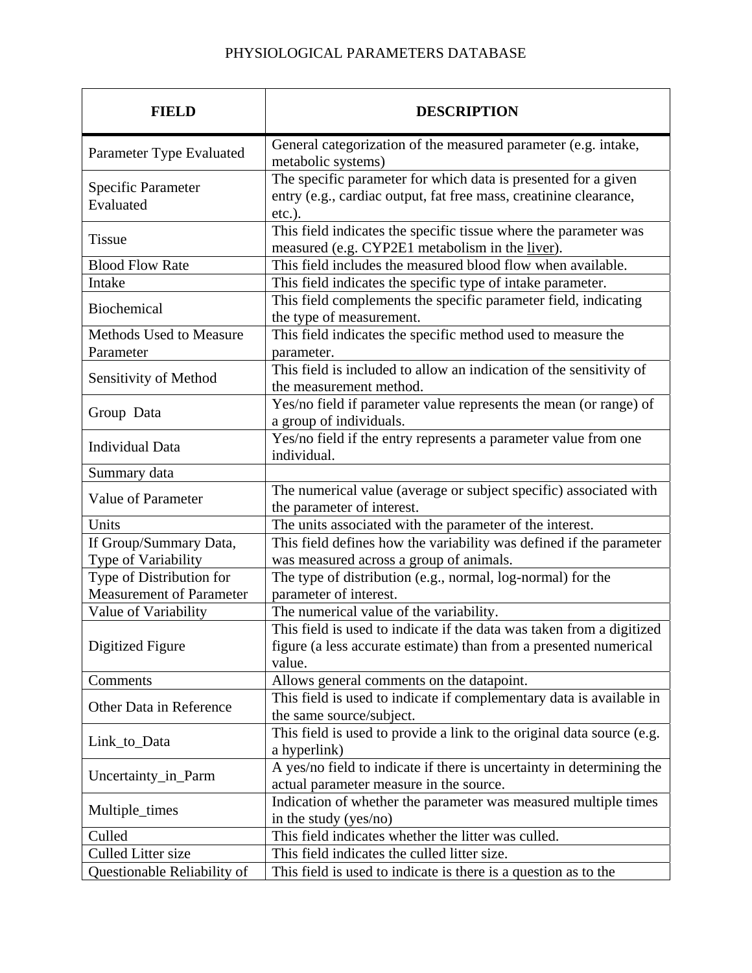| FIELD                                                       | <b>DESCRIPTION</b>                                                                                                                                   |
|-------------------------------------------------------------|------------------------------------------------------------------------------------------------------------------------------------------------------|
| Parameter Type Evaluated                                    | General categorization of the measured parameter (e.g. intake,<br>metabolic systems)                                                                 |
| <b>Specific Parameter</b><br>Evaluated                      | The specific parameter for which data is presented for a given<br>entry (e.g., cardiac output, fat free mass, creatinine clearance,<br>$etc.$ ).     |
| <b>Tissue</b>                                               | This field indicates the specific tissue where the parameter was<br>measured (e.g. CYP2E1 metabolism in the <u>liver</u> ).                          |
| <b>Blood Flow Rate</b>                                      | This field includes the measured blood flow when available.                                                                                          |
| Intake                                                      | This field indicates the specific type of intake parameter.                                                                                          |
| <b>Biochemical</b>                                          | This field complements the specific parameter field, indicating<br>the type of measurement.                                                          |
| <b>Methods Used to Measure</b><br>Parameter                 | This field indicates the specific method used to measure the<br>parameter.                                                                           |
| Sensitivity of Method                                       | This field is included to allow an indication of the sensitivity of<br>the measurement method.                                                       |
| Group Data                                                  | Yes/no field if parameter value represents the mean (or range) of<br>a group of individuals.                                                         |
| <b>Individual Data</b>                                      | Yes/no field if the entry represents a parameter value from one<br>individual.                                                                       |
| Summary data                                                |                                                                                                                                                      |
| Value of Parameter                                          | The numerical value (average or subject specific) associated with<br>the parameter of interest.                                                      |
| Units                                                       | The units associated with the parameter of the interest.                                                                                             |
| If Group/Summary Data,                                      | This field defines how the variability was defined if the parameter                                                                                  |
| Type of Variability                                         | was measured across a group of animals.                                                                                                              |
| Type of Distribution for<br><b>Measurement of Parameter</b> | The type of distribution (e.g., normal, log-normal) for the<br>parameter of interest.                                                                |
| Value of Variability                                        | The numerical value of the variability.                                                                                                              |
| Digitized Figure                                            | This field is used to indicate if the data was taken from a digitized<br>figure (a less accurate estimate) than from a presented numerical<br>value. |
| Comments                                                    | Allows general comments on the datapoint.                                                                                                            |
| Other Data in Reference                                     | This field is used to indicate if complementary data is available in<br>the same source/subject.                                                     |
| Link_to_Data                                                | This field is used to provide a link to the original data source (e.g.<br>a hyperlink)                                                               |
| Uncertainty_in_Parm                                         | A yes/no field to indicate if there is uncertainty in determining the<br>actual parameter measure in the source.                                     |
| Multiple_times                                              | Indication of whether the parameter was measured multiple times<br>in the study (yes/no)                                                             |
| Culled                                                      | This field indicates whether the litter was culled.                                                                                                  |
| <b>Culled Litter size</b>                                   | This field indicates the culled litter size.                                                                                                         |
| Questionable Reliability of                                 | This field is used to indicate is there is a question as to the                                                                                      |